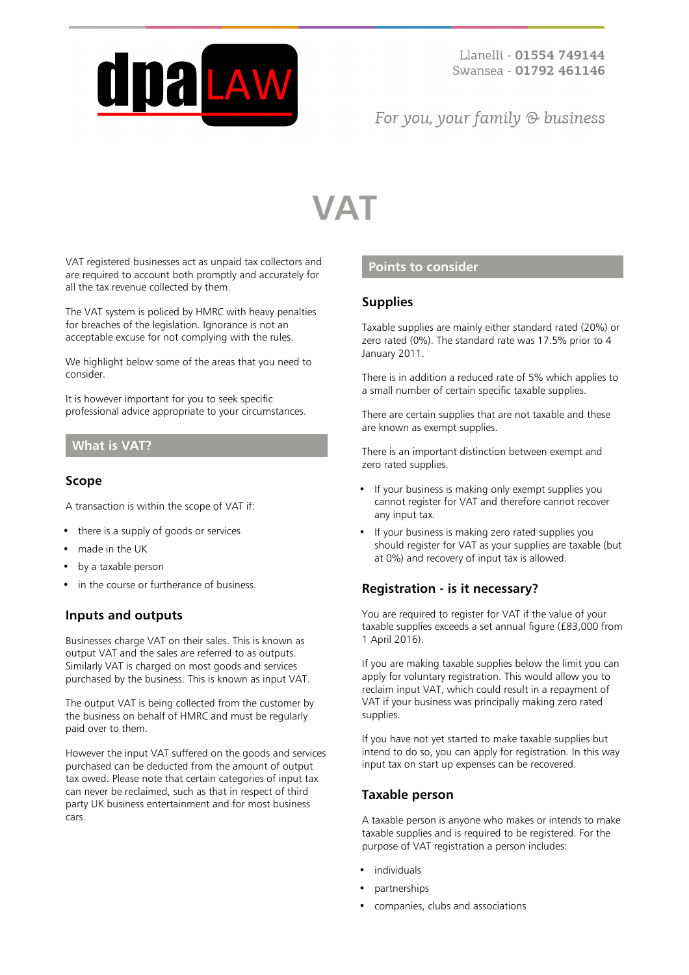

## For you, your family  $\odot$  business

# **VAT**

VAT registered businesses act as unpaid tax collectors and are required to account both promptly and accurately for all the tax revenue collected by them.

The VAT system is policed by HMRC with heavy penalties for breaches of the legislation. Ignorance is not an acceptable excuse for not complying with the rules.

We highlight below some of the areas that you need to consider.

It is however important for you to seek specific professional advice appropriate to your circumstances.

#### **What is VAT?**

#### **Scope**

A transaction is within the scope of VAT if:

- there is a supply of goods or services
- made in the UK
- by a taxable person
- in the course or furtherance of business.

#### **Inputs and outputs**

Businesses charge VAT on their sales. This is known as output VAT and the sales are referred to as outputs. Similarly VAT is charged on most goods and services purchased by the business. This is known as input VAT.

The output VAT is being collected from the customer by the business on behalf of HMRC and must be regularly paid over to them.

However the input VAT suffered on the goods and services purchased can be deducted from the amount of output tax owed. Please note that certain categories of input tax can never be reclaimed, such as that in respect of third party UK business entertainment and for most business cars.

### **Points to consider**

#### **Supplies**

Taxable supplies are mainly either standard rated (20%) or zero rated (0%). The standard rate was 17.5% prior to 4 January 2011.

There is in addition a reduced rate of 5% which applies to a small number of certain specific taxable supplies.

There are certain supplies that are not taxable and these are known as exempt supplies.

There is an important distinction between exempt and zero rated supplies.

- If your business is making only exempt supplies you cannot register for VAT and therefore cannot recover any input tax.
- If your business is making zero rated supplies you should register for VAT as your supplies are taxable (but at 0%) and recovery of input tax is allowed.

#### **Registration - is it necessary?**

You are required to register for VAT if the value of your taxable supplies exceeds a set annual figure (£83,000 from 1 April 2016).

If you are making taxable supplies below the limit you can apply for voluntary registration. This would allow you to reclaim input VAT, which could result in a repayment of VAT if your business was principally making zero rated supplies.

If you have not yet started to make taxable supplies but intend to do so, you can apply for registration. In this way input tax on start up expenses can be recovered.

#### **Taxable person**

A taxable person is anyone who makes or intends to make taxable supplies and is required to be registered. For the purpose of VAT registration a person includes:

- individuals
- partnerships
- companies, clubs and associations